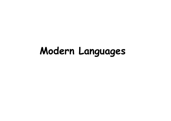# **Modern Languages**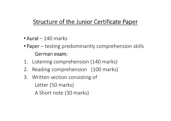## Structure of the Junior Certificate Paper

- $\bullet$  Aural 140 marks
- Paper testing predominantly comprehension skills German exam:
- 1. Listening comprehension (140 marks)
- 2. Reading comprehension (100 marks)
- 3. Written section consisting of Letter (50 marks)A Short note (30 marks)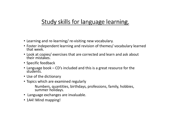## Study skills for language learning.

- Learning and re-learning/ re-visiting new vocabulary.
- Foster independent learning and revision of themes/ vocabulary learned that week.
- Look at copies/ exercises that are corrected and learn and ask about their mistakes.
- Specific feedback
- Language book CD's included and this is a great resource for the students.
- Use of the dictionary
- Topics which are examined regularly
	- Numbers, quantities, birthdays, professions, family, hobbies, summer holidays.
- Language exchanges are invaluable.
- 1A4! Mind mapping!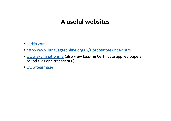#### **A useful websites**

- <u>verbix.com</u>
- http://www.languagesonline.org.uk/Hotpotatoes/Index.htm
- www.examinations.ie (also view Leaving Certificate applied papers) sound files and transcripts.)
- www.téarma.ie